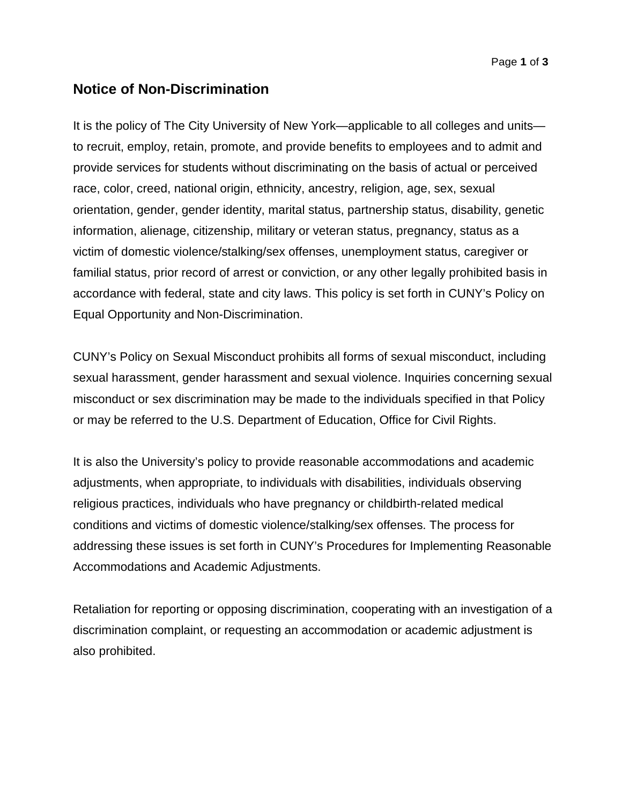## **Notice of Non-Discrimination**

It is the policy of The City University of New York—applicable to all colleges and units to recruit, employ, retain, promote, and provide benefits to employees and to admit and provide services for students without discriminating on the basis of actual or perceived race, color, creed, national origin, ethnicity, ancestry, religion, age, sex, sexual orientation, gender, gender identity, marital status, partnership status, disability, genetic information, alienage, citizenship, military or veteran status, pregnancy, status as a victim of domestic violence/stalking/sex offenses, unemployment status, caregiver or familial status, prior record of arrest or conviction, or any other legally prohibited basis in accordance with federal, state and city laws. This policy is set forth in CUNY's Policy on Equal Opportunity and Non-Discrimination.

CUNY's Policy on Sexual Misconduct prohibits all forms of sexual misconduct, including sexual harassment, gender harassment and sexual violence. Inquiries concerning sexual misconduct or sex discrimination may be made to the individuals specified in that Policy or may be referred to the U.S. Department of Education, Office for Civil Rights.

It is also the University's policy to provide reasonable accommodations and academic adjustments, when appropriate, to individuals with disabilities, individuals observing religious practices, individuals who have pregnancy or childbirth-related medical conditions and victims of domestic violence/stalking/sex offenses. The process for addressing these issues is set forth in CUNY's Procedures for Implementing Reasonable Accommodations and Academic Adjustments.

Retaliation for reporting or opposing discrimination, cooperating with an investigation of a discrimination complaint, or requesting an accommodation or academic adjustment is also prohibited.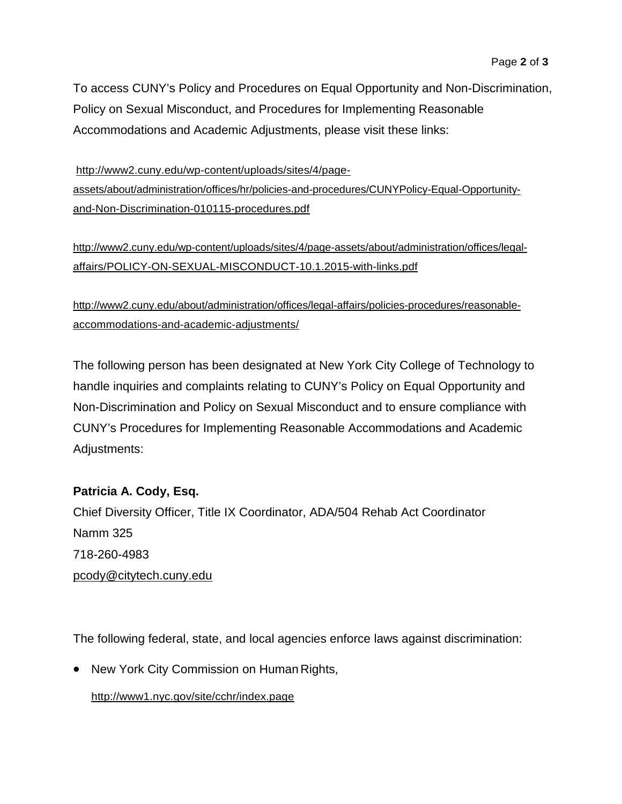To access CUNY's Policy and Procedures on Equal Opportunity and Non-Discrimination, Policy on Sexual Misconduct, and Procedures for Implementing Reasonable Accommodations and Academic Adjustments, please visit these links:

[http://www2.cuny.edu/wp-content/uploads/sites/4/page](http://www2.cuny.edu/wp-content/uploads/sites/4/page-assets/about/administration/offices/hr/policies-and-procedures/CUNYPolicy-Equal-Opportunity-and-Non-Discrimination-010115-procedures.pdf)[assets/about/administration/offices/hr/policies-and-procedures/CUNYPolicy-Equal-Opportunity](http://www2.cuny.edu/wp-content/uploads/sites/4/page-assets/about/administration/offices/hr/policies-and-procedures/CUNYPolicy-Equal-Opportunity-and-Non-Discrimination-010115-procedures.pdf)[and-Non-Discrimination-010115-procedures.pdf](http://www2.cuny.edu/wp-content/uploads/sites/4/page-assets/about/administration/offices/hr/policies-and-procedures/CUNYPolicy-Equal-Opportunity-and-Non-Discrimination-010115-procedures.pdf)

[http://www2.cuny.edu/wp-content/uploads/sites/4/page-assets/about/administration/offices/legal](http://www2.cuny.edu/wp-content/uploads/sites/4/page-assets/about/administration/offices/legal-affairs/POLICY-ON-SEXUAL-MISCONDUCT-10.1.2015-with-links.pdf)[affairs/POLICY-ON-SEXUAL-MISCONDUCT-10.1.2015-with-links.pdf](http://www2.cuny.edu/wp-content/uploads/sites/4/page-assets/about/administration/offices/legal-affairs/POLICY-ON-SEXUAL-MISCONDUCT-10.1.2015-with-links.pdf)

[http://www2.cuny.edu/about/administration/offices/legal-affairs/policies-procedures/reasonable](http://www2.cuny.edu/about/administration/offices/legal-affairs/policies-procedures/reasonable-accommodations-and-academic-adjustments/)[accommodations-and-academic-adjustments/](http://www2.cuny.edu/about/administration/offices/legal-affairs/policies-procedures/reasonable-accommodations-and-academic-adjustments/)

The following person has been designated at New York City College of Technology to handle inquiries and complaints relating to CUNY's Policy on Equal Opportunity and Non-Discrimination and Policy on Sexual Misconduct and to ensure compliance with CUNY's Procedures for Implementing Reasonable Accommodations and Academic Adjustments:

## **Patricia A. Cody, Esq.**

Chief Diversity Officer, Title IX Coordinator, ADA/504 Rehab Act Coordinator Namm 325 718-260-4983 [pcody@citytech.cuny.edu](mailto:pcody@citytech.cuny.edu)

The following federal, state, and local agencies enforce laws against discrimination:

• New York City Commission on Human Rights,

<http://www1.nyc.gov/site/cchr/index.page>